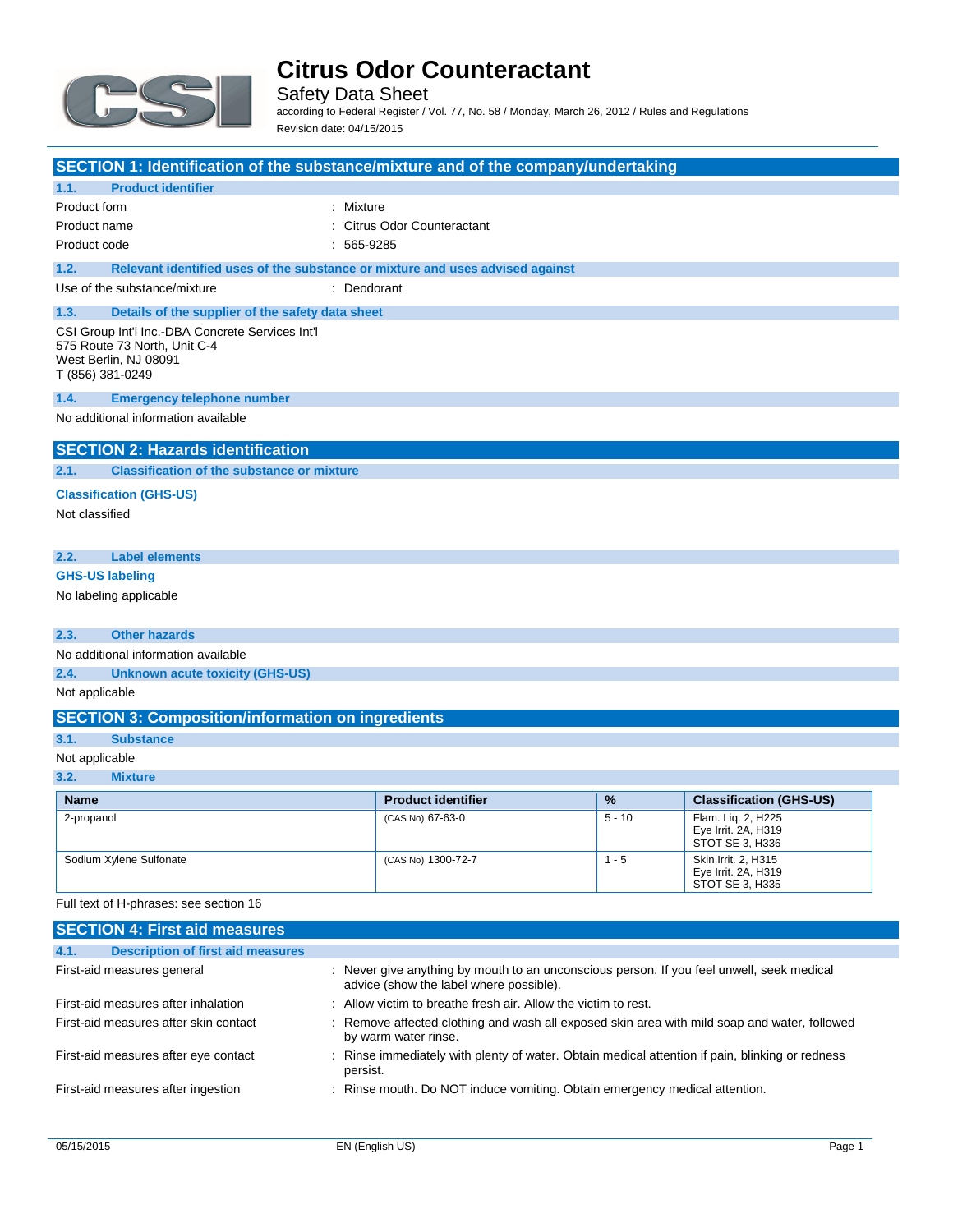

Safety Data Sheet according to Federal Register / Vol. 77, No. 58 / Monday, March 26, 2012 / Rules and Regulations Revision date: 04/15/2015

|                |                                                                                                                               | SECTION 1: Identification of the substance/mixture and of the company/undertaking |
|----------------|-------------------------------------------------------------------------------------------------------------------------------|-----------------------------------------------------------------------------------|
| 1.1.           | <b>Product identifier</b>                                                                                                     |                                                                                   |
| Product form   |                                                                                                                               | : Mixture                                                                         |
| Product name   |                                                                                                                               | <b>Citrus Odor Counteractant</b>                                                  |
| Product code   |                                                                                                                               | 565-9285                                                                          |
| 1.2.           |                                                                                                                               | Relevant identified uses of the substance or mixture and uses advised against     |
|                | Use of the substance/mixture                                                                                                  | : Deodorant                                                                       |
| 1.3.           | Details of the supplier of the safety data sheet                                                                              |                                                                                   |
|                | CSI Group Int'l Inc.-DBA Concrete Services Int'l<br>575 Route 73 North, Unit C-4<br>West Berlin, NJ 08091<br>T (856) 381-0249 |                                                                                   |
| 1.4.           | <b>Emergency telephone number</b>                                                                                             |                                                                                   |
|                | No additional information available                                                                                           |                                                                                   |
|                | <b>SECTION 2: Hazards identification</b>                                                                                      |                                                                                   |
|                |                                                                                                                               |                                                                                   |
| 2.1.           | <b>Classification of the substance or mixture</b>                                                                             |                                                                                   |
|                | <b>Classification (GHS-US)</b>                                                                                                |                                                                                   |
| Not classified |                                                                                                                               |                                                                                   |
|                |                                                                                                                               |                                                                                   |
| 2.2.           | <b>Label elements</b>                                                                                                         |                                                                                   |
|                | <b>GHS-US labeling</b>                                                                                                        |                                                                                   |
|                | No labeling applicable                                                                                                        |                                                                                   |
| 2.3.           | <b>Other hazards</b>                                                                                                          |                                                                                   |
|                | No additional information available                                                                                           |                                                                                   |
| 2.4.           | <b>Unknown acute toxicity (GHS-US)</b>                                                                                        |                                                                                   |
| Not applicable |                                                                                                                               |                                                                                   |
|                | <b>SECTION 3: Composition/information on ingredients</b>                                                                      |                                                                                   |
| 3.1.           | <b>Substance</b>                                                                                                              |                                                                                   |
| Not applicable |                                                                                                                               |                                                                                   |
| 3.2.           | <b>Mixture</b>                                                                                                                |                                                                                   |
|                |                                                                                                                               |                                                                                   |

| <b>Name</b>             | <b>Product identifier</b> | $\frac{9}{6}$ | <b>Classification (GHS-US)</b>                                |
|-------------------------|---------------------------|---------------|---------------------------------------------------------------|
| 2-propanol              | (CAS No) 67-63-0          | $5 - 10$      | Flam. Lig. 2, H225<br>Eye Irrit. 2A, H319<br>STOT SE 3. H336  |
| Sodium Xylene Sulfonate | (CAS No) 1300-72-7        | - 5           | Skin Irrit, 2, H315<br>Eye Irrit. 2A, H319<br>STOT SE 3, H335 |

Full text of H-phrases: see section 16

| <b>SECTION 4: First aid measures</b>             |                                                                                                                                      |  |
|--------------------------------------------------|--------------------------------------------------------------------------------------------------------------------------------------|--|
| 4.1.<br><b>Description of first aid measures</b> |                                                                                                                                      |  |
| First-aid measures general                       | : Never give anything by mouth to an unconscious person. If you feel unwell, seek medical<br>advice (show the label where possible). |  |
| First-aid measures after inhalation              | : Allow victim to breathe fresh air. Allow the victim to rest.                                                                       |  |
| First-aid measures after skin contact            | : Remove affected clothing and wash all exposed skin area with mild soap and water, followed<br>by warm water rinse.                 |  |
| First-aid measures after eye contact             | : Rinse immediately with plenty of water. Obtain medical attention if pain, blinking or redness<br>persist.                          |  |
| First-aid measures after ingestion               | : Rinse mouth. Do NOT induce vomiting. Obtain emergency medical attention.                                                           |  |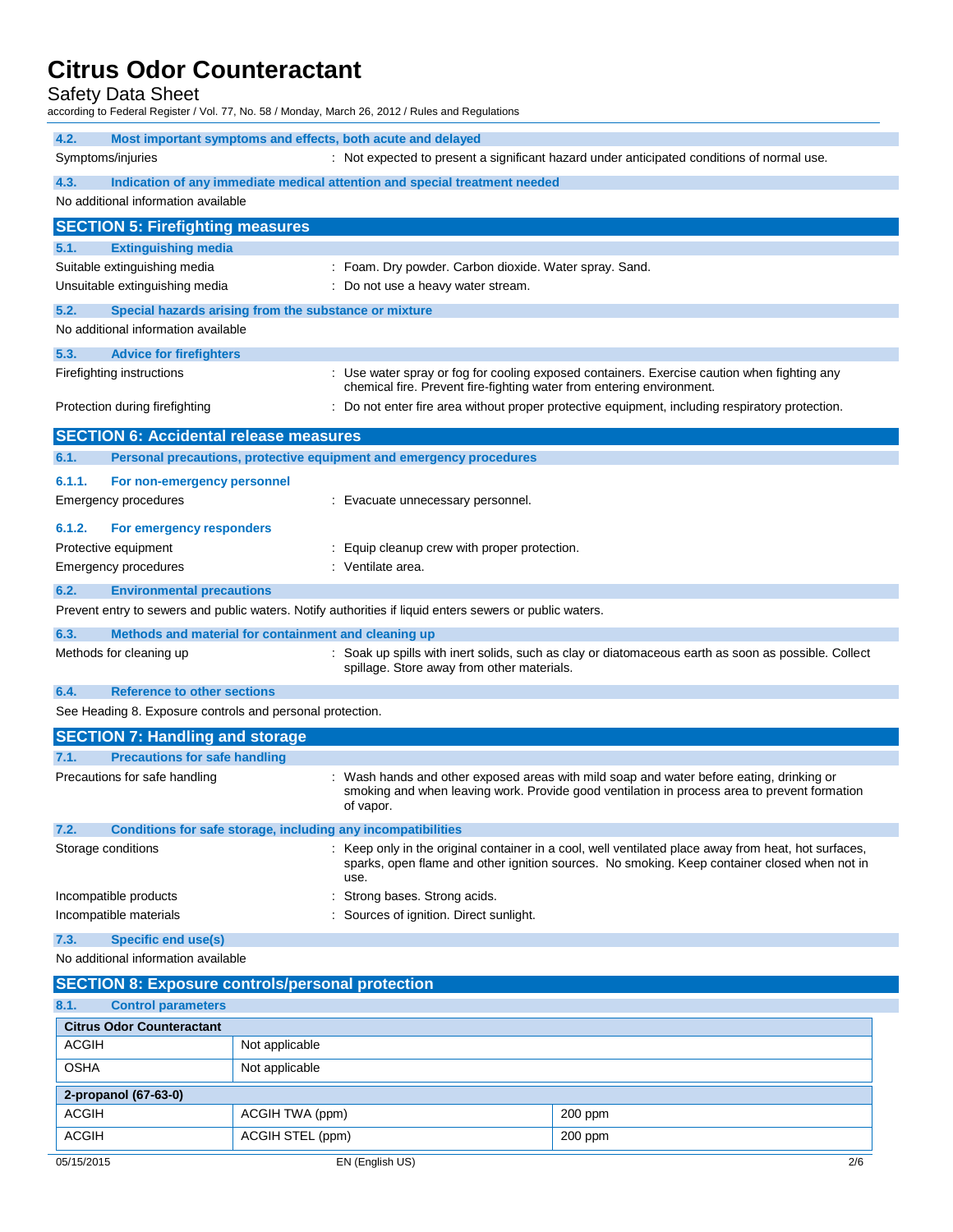Safety Data Sheet

according to Federal Register / Vol. 77, No. 58 / Monday, March 26, 2012 / Rules and Regulations

| 4.2.   | Most important symptoms and effects, both acute and delayed         |                                                                                                                                                                                                              |
|--------|---------------------------------------------------------------------|--------------------------------------------------------------------------------------------------------------------------------------------------------------------------------------------------------------|
|        | Symptoms/injuries                                                   | : Not expected to present a significant hazard under anticipated conditions of normal use.                                                                                                                   |
| 4.3.   |                                                                     | Indication of any immediate medical attention and special treatment needed                                                                                                                                   |
|        | No additional information available                                 |                                                                                                                                                                                                              |
|        | <b>SECTION 5: Firefighting measures</b>                             |                                                                                                                                                                                                              |
| 5.1.   | <b>Extinguishing media</b>                                          |                                                                                                                                                                                                              |
|        | Suitable extinguishing media                                        | : Foam. Dry powder. Carbon dioxide. Water spray. Sand.                                                                                                                                                       |
|        | Unsuitable extinguishing media                                      | : Do not use a heavy water stream.                                                                                                                                                                           |
| 5.2.   | Special hazards arising from the substance or mixture               |                                                                                                                                                                                                              |
|        | No additional information available                                 |                                                                                                                                                                                                              |
| 5.3.   | <b>Advice for firefighters</b>                                      |                                                                                                                                                                                                              |
|        | Firefighting instructions                                           | : Use water spray or fog for cooling exposed containers. Exercise caution when fighting any<br>chemical fire. Prevent fire-fighting water from entering environment.                                         |
|        | Protection during firefighting                                      | Do not enter fire area without proper protective equipment, including respiratory protection.                                                                                                                |
|        | <b>SECTION 6: Accidental release measures</b>                       |                                                                                                                                                                                                              |
| 6.1.   | Personal precautions, protective equipment and emergency procedures |                                                                                                                                                                                                              |
| 6.1.1. | For non-emergency personnel                                         |                                                                                                                                                                                                              |
|        | Emergency procedures                                                | : Evacuate unnecessary personnel.                                                                                                                                                                            |
| 6.1.2. | For emergency responders                                            |                                                                                                                                                                                                              |
|        | Protective equipment                                                | : Equip cleanup crew with proper protection.                                                                                                                                                                 |
|        | <b>Emergency procedures</b>                                         | : Ventilate area.                                                                                                                                                                                            |
| 6.2.   | <b>Environmental precautions</b>                                    |                                                                                                                                                                                                              |
|        |                                                                     | Prevent entry to sewers and public waters. Notify authorities if liquid enters sewers or public waters.                                                                                                      |
| 6.3.   | Methods and material for containment and cleaning up                |                                                                                                                                                                                                              |
|        | Methods for cleaning up                                             | : Soak up spills with inert solids, such as clay or diatomaceous earth as soon as possible. Collect<br>spillage. Store away from other materials.                                                            |
| 6.4.   | <b>Reference to other sections</b>                                  |                                                                                                                                                                                                              |
|        | See Heading 8. Exposure controls and personal protection.           |                                                                                                                                                                                                              |
|        | <b>SECTION 7: Handling and storage</b>                              |                                                                                                                                                                                                              |
| 7.1.   | <b>Precautions for safe handling</b>                                |                                                                                                                                                                                                              |
|        | Precautions for safe handling                                       | : Wash hands and other exposed areas with mild soap and water before eating, drinking or<br>smoking and when leaving work. Provide good ventilation in process area to prevent formation<br>of vapor.        |
| 7.2.   | Conditions for safe storage, including any incompatibilities        |                                                                                                                                                                                                              |
|        | Storage conditions                                                  | : Keep only in the original container in a cool, well ventilated place away from heat, hot surfaces,<br>sparks, open flame and other ignition sources. No smoking. Keep container closed when not in<br>use. |
|        | Incompatible products                                               | Strong bases. Strong acids.                                                                                                                                                                                  |
|        | Incompatible materials                                              | Sources of ignition. Direct sunlight.                                                                                                                                                                        |
| 7.3.   | <b>Specific end use(s)</b>                                          |                                                                                                                                                                                                              |
|        | No additional information available                                 |                                                                                                                                                                                                              |
|        | <b>SECTION 8: Exposure controls/personal protection</b>             |                                                                                                                                                                                                              |
| 8.1.   | <b>Control parameters</b>                                           |                                                                                                                                                                                                              |
|        | Citrus Odor Counterprisont                                          |                                                                                                                                                                                                              |

|             | <b>Citrus Odor Counteractant</b> |           |     |  |  |
|-------------|----------------------------------|-----------|-----|--|--|
| ACGIH       | Not applicable                   |           |     |  |  |
| <b>OSHA</b> | Not applicable                   |           |     |  |  |
|             | 2-propanol (67-63-0)             |           |     |  |  |
| ACGIH       | ACGIH TWA (ppm)                  | $200$ ppm |     |  |  |
| ACGIH       | ACGIH STEL (ppm)                 | $200$ ppm |     |  |  |
| 05/15/2015  | EN (English US)                  |           | 2/6 |  |  |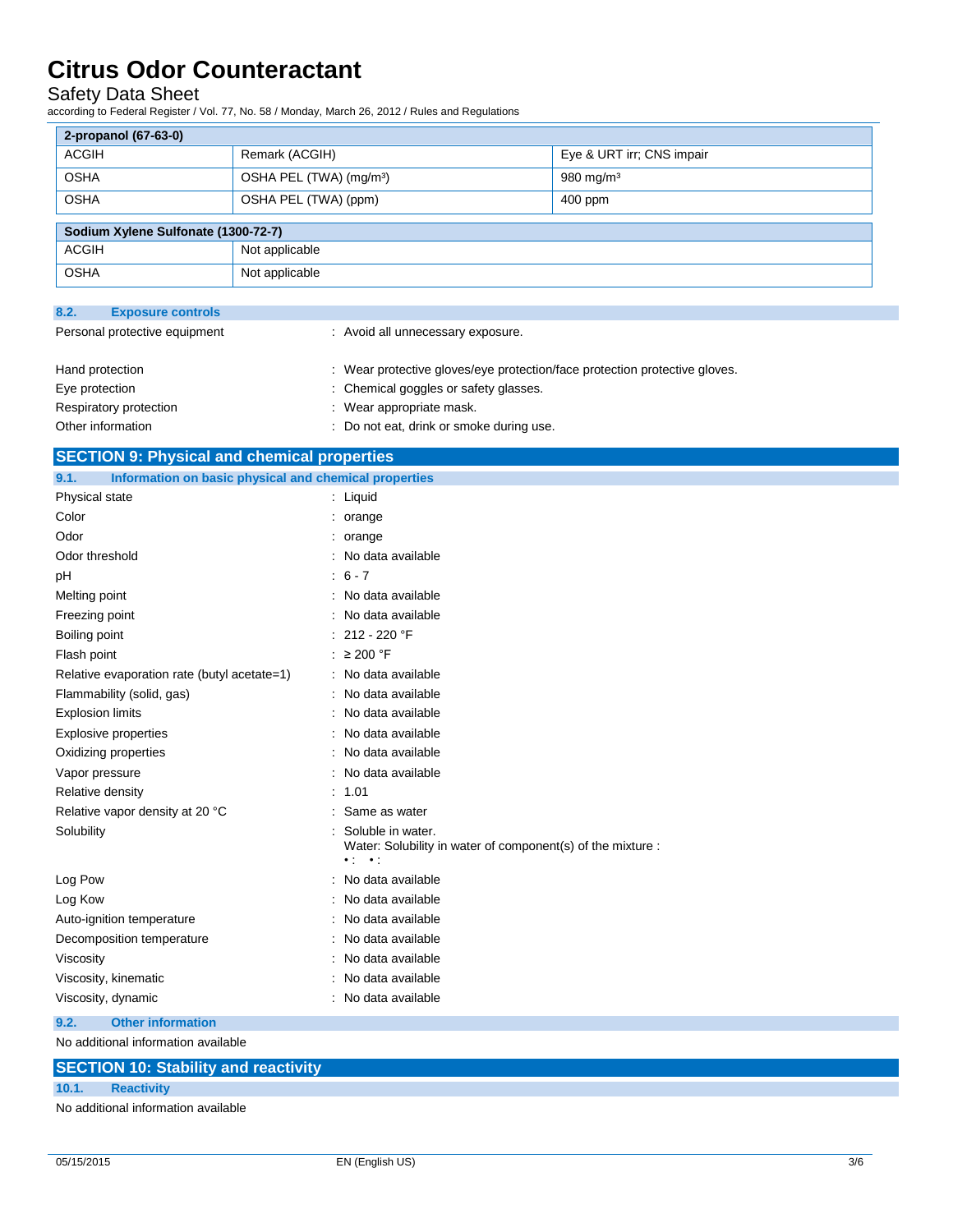### Safety Data Sheet

according to Federal Register / Vol. 77, No. 58 / Monday, March 26, 2012 / Rules and Regulations

| 2-propanol (67-63-0)                |                                     |                           |  |  |
|-------------------------------------|-------------------------------------|---------------------------|--|--|
| <b>ACGIH</b>                        | Remark (ACGIH)                      | Eye & URT irr; CNS impair |  |  |
| <b>OSHA</b>                         | OSHA PEL (TWA) (mg/m <sup>3</sup> ) | $980$ mg/m <sup>3</sup>   |  |  |
| <b>OSHA</b>                         | OSHA PEL (TWA) (ppm)                | 400 ppm                   |  |  |
| Sodium Xylene Sulfonate (1300-72-7) |                                     |                           |  |  |
|                                     |                                     |                           |  |  |
| <b>ACGIH</b>                        | Not applicable                      |                           |  |  |
| <b>OSHA</b>                         | Not applicable                      |                           |  |  |

| 8.2.                          | <b>Exposure controls</b> |                                                                            |
|-------------------------------|--------------------------|----------------------------------------------------------------------------|
| Personal protective equipment |                          | : Avoid all unnecessary exposure.                                          |
|                               | Hand protection          | : Wear protective gloves/eye protection/face protection protective gloves. |
| Eye protection                |                          | : Chemical goggles or safety glasses.                                      |
|                               | Respiratory protection   | : Wear appropriate mask.                                                   |
|                               | Other information        | : Do not eat, drink or smoke during use.                                   |

|                | <b>SECTION 9: Physical and chemical properties</b>    |  |  |
|----------------|-------------------------------------------------------|--|--|
| 9.1.           | Information on basic physical and chemical properties |  |  |
| Physical state | Liauid                                                |  |  |
| $C$ olor       | orange                                                |  |  |

| Color                                       | orange                                                                                  |
|---------------------------------------------|-----------------------------------------------------------------------------------------|
| Odor                                        | : orange                                                                                |
| Odor threshold                              | No data available                                                                       |
| pH                                          | $: 6 - 7$                                                                               |
| Melting point                               | : No data available                                                                     |
| Freezing point                              | No data available                                                                       |
| Boiling point                               | 212 - 220 °F                                                                            |
| Flash point                                 | $\geq$ 200 °F                                                                           |
| Relative evaporation rate (butyl acetate=1) | : No data available                                                                     |
| Flammability (solid, gas)                   | : No data available                                                                     |
| <b>Explosion limits</b>                     | : No data available                                                                     |
| <b>Explosive properties</b>                 | No data available                                                                       |
| Oxidizing properties                        | No data available                                                                       |
| Vapor pressure                              | No data available                                                                       |
| Relative density                            | : 1.01                                                                                  |
| Relative vapor density at 20 °C             | Same as water                                                                           |
| Solubility                                  | Soluble in water.                                                                       |
|                                             | Water: Solubility in water of component(s) of the mixture :<br>$\bullet$ :<br>$\cdot$ . |
| Log Pow                                     | : No data available                                                                     |
| Log Kow                                     | No data available                                                                       |
| Auto-ignition temperature                   | No data available                                                                       |
| Decomposition temperature                   | : No data available                                                                     |
| Viscosity                                   | No data available                                                                       |
| Viscosity, kinematic                        | No data available                                                                       |
| Viscosity, dynamic                          | : No data available                                                                     |
| <b>Other information</b><br>9.2.            |                                                                                         |
| No additional information available         |                                                                                         |
|                                             |                                                                                         |

## **SECTION 10: Stability and reactivity**

### **10.1. Reactivity**

No additional information available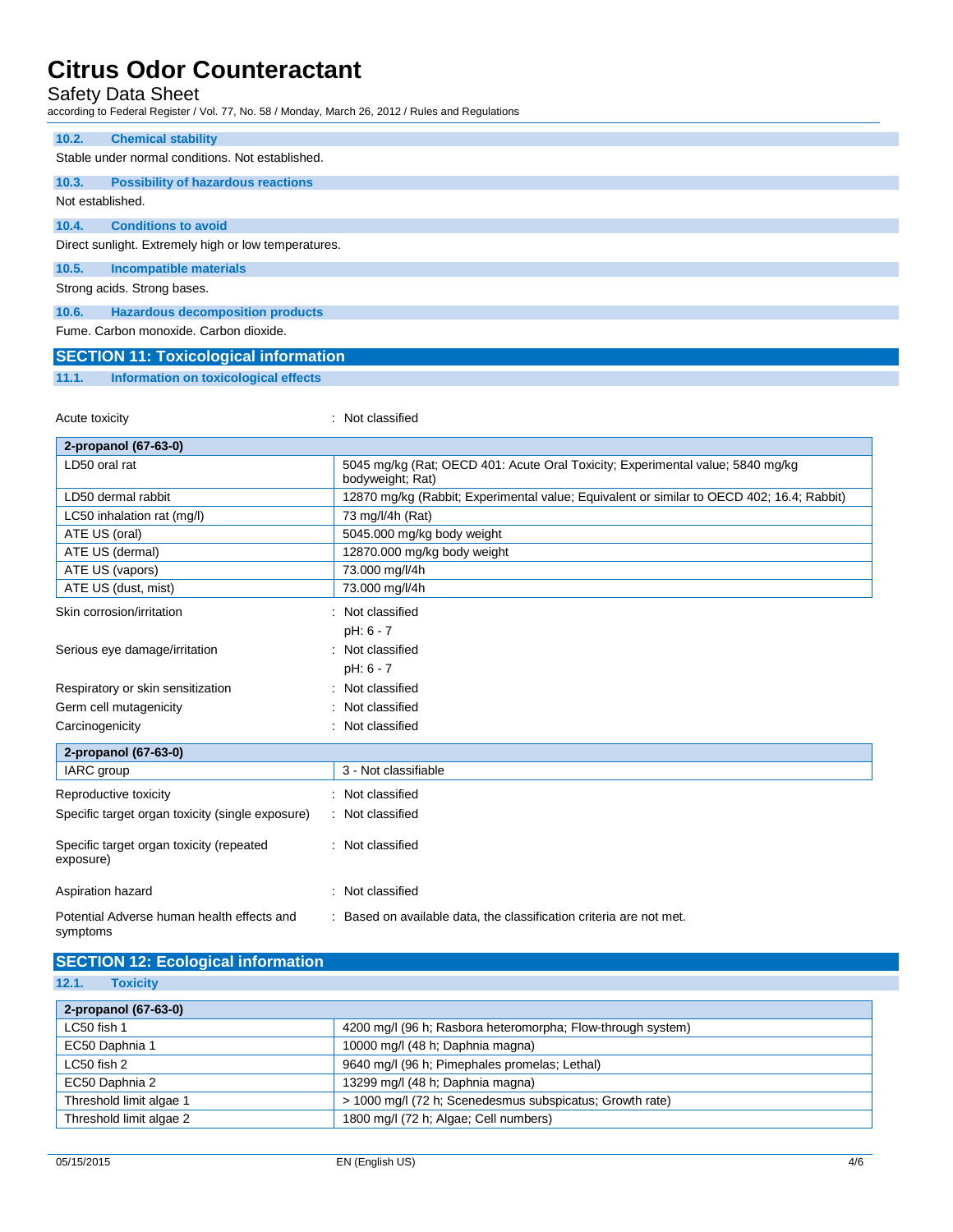### Safety Data Sheet

according to Federal Register / Vol. 77, No. 58 / Monday, March 26, 2012 / Rules and Regulations

| 10.2.            | <b>Chemical stability</b>                            |
|------------------|------------------------------------------------------|
|                  | Stable under normal conditions. Not established.     |
|                  |                                                      |
| 10.3.            | <b>Possibility of hazardous reactions</b>            |
| Not established. |                                                      |
|                  |                                                      |
| 10.4.            | <b>Conditions to avoid</b>                           |
|                  | Direct sunlight. Extremely high or low temperatures. |
|                  |                                                      |
| 10.5.            | <b>Incompatible materials</b>                        |
|                  |                                                      |
|                  | Strong acids. Strong bases.                          |
| 10.6.            | <b>Hazardous decomposition products</b>              |
|                  | Fume, Carbon monoxide, Carbon dioxide.               |
|                  |                                                      |
|                  | <b>SECTION 11: Toxicological information</b>         |

**11.1. Information on toxicological effects**

| Acute toxicity                                         | : Not classified                                                                                   |  |  |
|--------------------------------------------------------|----------------------------------------------------------------------------------------------------|--|--|
| 2-propanol (67-63-0)                                   |                                                                                                    |  |  |
| LD50 oral rat                                          | 5045 mg/kg (Rat; OECD 401: Acute Oral Toxicity; Experimental value; 5840 mg/kg<br>bodyweight; Rat) |  |  |
| LD50 dermal rabbit                                     | 12870 mg/kg (Rabbit; Experimental value; Equivalent or similar to OECD 402; 16.4; Rabbit)          |  |  |
| LC50 inhalation rat (mg/l)                             | 73 mg/l/4h (Rat)                                                                                   |  |  |
| ATE US (oral)                                          | 5045.000 mg/kg body weight                                                                         |  |  |
| ATE US (dermal)                                        | 12870.000 mg/kg body weight                                                                        |  |  |
| ATE US (vapors)                                        | 73.000 mg/l/4h                                                                                     |  |  |
| ATE US (dust, mist)                                    | 73.000 mg/l/4h                                                                                     |  |  |
| Skin corrosion/irritation                              | Not classified                                                                                     |  |  |
|                                                        | pH: 6 - 7                                                                                          |  |  |
| Serious eye damage/irritation                          | Not classified                                                                                     |  |  |
|                                                        | pH: 6 - 7                                                                                          |  |  |
| Respiratory or skin sensitization                      | Not classified                                                                                     |  |  |
| Germ cell mutagenicity                                 | Not classified                                                                                     |  |  |
| Carcinogenicity                                        | Not classified                                                                                     |  |  |
| 2-propanol (67-63-0)                                   |                                                                                                    |  |  |
| IARC group                                             | 3 - Not classifiable                                                                               |  |  |
| Reproductive toxicity                                  | : Not classified                                                                                   |  |  |
| Specific target organ toxicity (single exposure)       | : Not classified                                                                                   |  |  |
| Specific target organ toxicity (repeated<br>exposure)  | : Not classified                                                                                   |  |  |
| Aspiration hazard                                      | : Not classified                                                                                   |  |  |
| Potential Adverse human health effects and<br>symptoms | : Based on available data, the classification criteria are not met.                                |  |  |

## **SECTION 12: Ecological information**

| 12.1. |  | <b>Toxicity</b> |
|-------|--|-----------------|
|       |  |                 |

| 2-propanol (67-63-0)    |                                                             |
|-------------------------|-------------------------------------------------------------|
| LC50 fish 1             | 4200 mg/l (96 h; Rasbora heteromorpha; Flow-through system) |
| EC50 Daphnia 1          | 10000 mg/l (48 h; Daphnia magna)                            |
| LC50 fish 2             | 9640 mg/l (96 h; Pimephales promelas; Lethal)               |
| EC50 Daphnia 2          | 13299 mg/l (48 h; Daphnia magna)                            |
| Threshold limit algae 1 | > 1000 mg/l (72 h; Scenedesmus subspicatus; Growth rate)    |
| Threshold limit algae 2 | 1800 mg/l (72 h; Algae; Cell numbers)                       |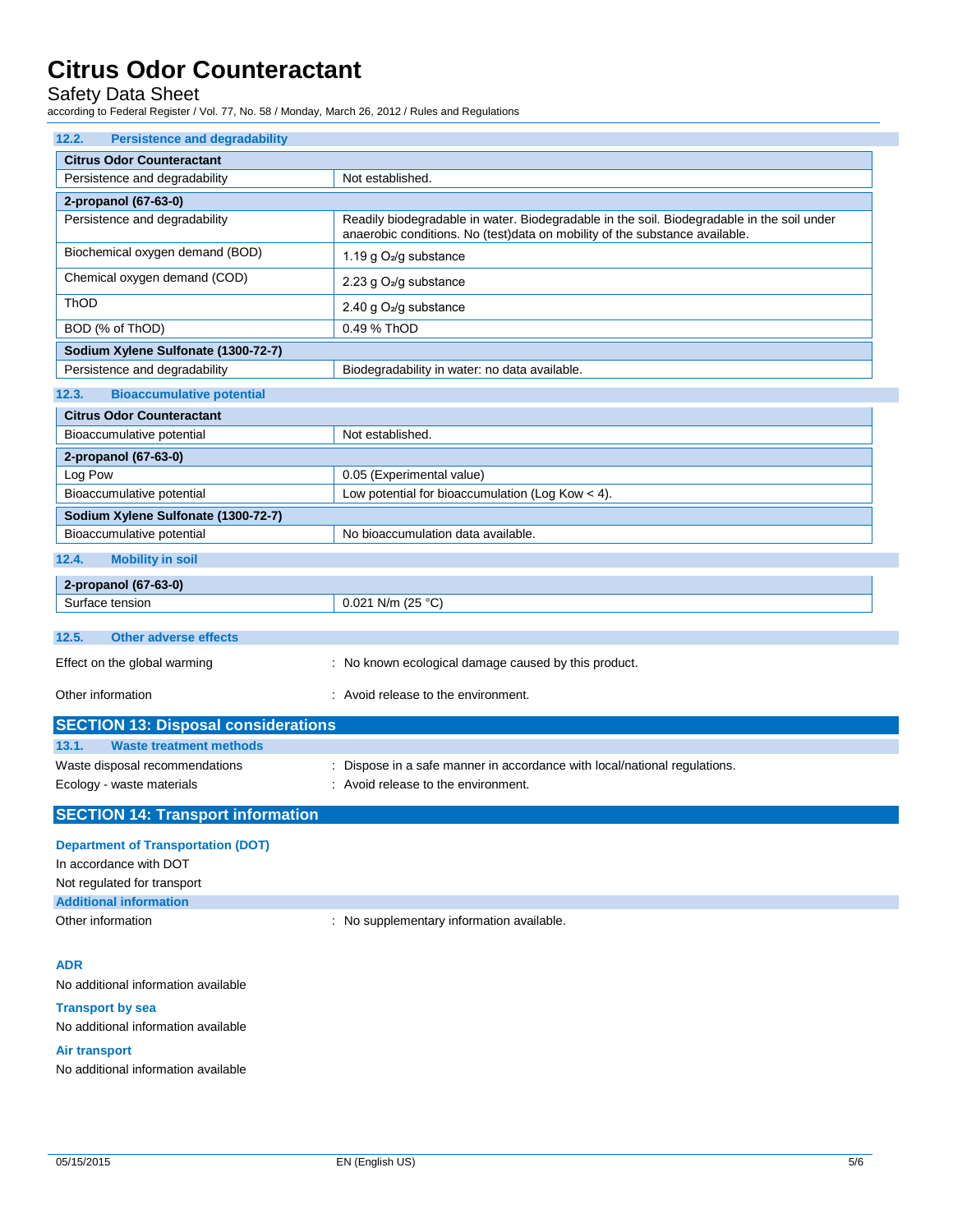Safety Data Sheet

according to Federal Register / Vol. 77, No. 58 / Monday, March 26, 2012 / Rules and Regulations

| 12.2.<br><b>Persistence and degradability</b> |                                                                                                                                                                           |  |
|-----------------------------------------------|---------------------------------------------------------------------------------------------------------------------------------------------------------------------------|--|
| <b>Citrus Odor Counteractant</b>              |                                                                                                                                                                           |  |
| Persistence and degradability                 | Not established.                                                                                                                                                          |  |
| 2-propanol (67-63-0)                          |                                                                                                                                                                           |  |
| Persistence and degradability                 | Readily biodegradable in water. Biodegradable in the soil. Biodegradable in the soil under<br>anaerobic conditions. No (test)data on mobility of the substance available. |  |
| Biochemical oxygen demand (BOD)               | 1.19 g O <sub>2</sub> /g substance                                                                                                                                        |  |
| Chemical oxygen demand (COD)                  | 2.23 g O <sub>2</sub> /g substance                                                                                                                                        |  |
| ThOD                                          | 2.40 g $O_2$ /g substance                                                                                                                                                 |  |
| BOD (% of ThOD)                               | 0.49 % ThOD                                                                                                                                                               |  |
| Sodium Xylene Sulfonate (1300-72-7)           |                                                                                                                                                                           |  |
| Persistence and degradability                 | Biodegradability in water: no data available.                                                                                                                             |  |
| 12.3.<br><b>Bioaccumulative potential</b>     |                                                                                                                                                                           |  |
| <b>Citrus Odor Counteractant</b>              |                                                                                                                                                                           |  |
| Bioaccumulative potential                     | Not established.                                                                                                                                                          |  |
| 2-propanol (67-63-0)                          |                                                                                                                                                                           |  |
| Log Pow                                       | 0.05 (Experimental value)                                                                                                                                                 |  |
| Bioaccumulative potential                     | Low potential for bioaccumulation (Log Kow $<$ 4).                                                                                                                        |  |
| Sodium Xylene Sulfonate (1300-72-7)           |                                                                                                                                                                           |  |
| Bioaccumulative potential                     | No bioaccumulation data available.                                                                                                                                        |  |
| <b>Mobility in soil</b><br>12.4.              |                                                                                                                                                                           |  |
| 2-propanol (67-63-0)                          |                                                                                                                                                                           |  |
| Surface tension                               | 0.021 N/m (25 °C)                                                                                                                                                         |  |
| 12.5.<br><b>Other adverse effects</b>         |                                                                                                                                                                           |  |
| Effect on the global warming                  | : No known ecological damage caused by this product.                                                                                                                      |  |
| Other information                             | : Avoid release to the environment.                                                                                                                                       |  |
| <b>SECTION 13: Disposal considerations</b>    |                                                                                                                                                                           |  |
| 13.1.<br><b>Waste treatment methods</b>       |                                                                                                                                                                           |  |
| Waste disposal recommendations                | Dispose in a safe manner in accordance with local/national regulations.                                                                                                   |  |
| Ecology - waste materials                     | : Avoid release to the environment.                                                                                                                                       |  |
| <b>SECTION 14: Transport information</b>      |                                                                                                                                                                           |  |
| <b>Department of Transportation (DOT)</b>     |                                                                                                                                                                           |  |
| In accordance with DOT                        |                                                                                                                                                                           |  |
| Not regulated for transport                   |                                                                                                                                                                           |  |
| <b>Additional information</b>                 |                                                                                                                                                                           |  |
| Other information                             | : No supplementary information available.                                                                                                                                 |  |
| ADR                                           |                                                                                                                                                                           |  |
| No additional information available           |                                                                                                                                                                           |  |
| <b>Transport by sea</b>                       |                                                                                                                                                                           |  |
| No additional information available           |                                                                                                                                                                           |  |
|                                               |                                                                                                                                                                           |  |

### **Air transport**

No additional information available